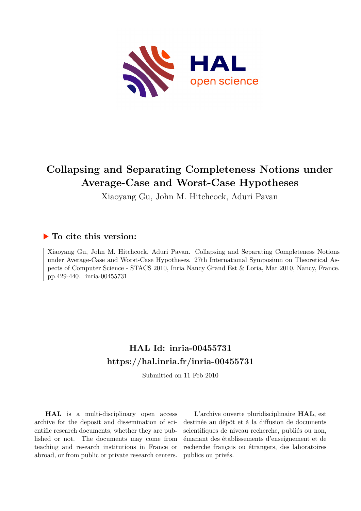

# **Collapsing and Separating Completeness Notions under Average-Case and Worst-Case Hypotheses**

Xiaoyang Gu, John M. Hitchcock, Aduri Pavan

### **To cite this version:**

Xiaoyang Gu, John M. Hitchcock, Aduri Pavan. Collapsing and Separating Completeness Notions under Average-Case and Worst-Case Hypotheses. 27th International Symposium on Theoretical Aspects of Computer Science - STACS 2010, Inria Nancy Grand Est & Loria, Mar 2010, Nancy, France. pp.429-440. inria-00455731

## **HAL Id: inria-00455731 <https://hal.inria.fr/inria-00455731>**

Submitted on 11 Feb 2010

**HAL** is a multi-disciplinary open access archive for the deposit and dissemination of scientific research documents, whether they are published or not. The documents may come from teaching and research institutions in France or abroad, or from public or private research centers.

L'archive ouverte pluridisciplinaire **HAL**, est destinée au dépôt et à la diffusion de documents scientifiques de niveau recherche, publiés ou non, émanant des établissements d'enseignement et de recherche français ou étrangers, des laboratoires publics ou privés.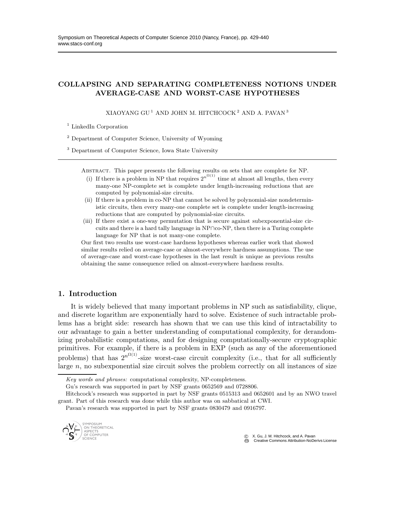### COLLAPSING AND SEPARATING COMPLETENESS NOTIONS UNDER AVERAGE-CASE AND WORST-CASE HYPOTHESES

XIAOYANG GU $^1$ AND JOHN M. HITCHCOCK $^2$ AND A. PAVAN $^3$ 

<sup>1</sup> LinkedIn Corporation

<sup>2</sup> Department of Computer Science, University of Wyoming

<sup>3</sup> Department of Computer Science, Iowa State University

Abstract. This paper presents the following results on sets that are complete for NP.

- (i) If there is a problem in NP that requires  $2^{n^{\Omega(1)}}$  time at almost all lengths, then every many-one NP-complete set is complete under length-increasing reductions that are computed by polynomial-size circuits.
- (ii) If there is a problem in co-NP that cannot be solved by polynomial-size nondeterministic circuits, then every many-one complete set is complete under length-increasing reductions that are computed by polynomial-size circuits.
- (iii) If there exist a one-way permutation that is secure against subexponential-size circuits and there is a hard tally language in NP∩co-NP, then there is a Turing complete language for NP that is not many-one complete.

Our first two results use worst-case hardness hypotheses whereas earlier work that showed similar results relied on average-case or almost-everywhere hardness assumptions. The use of average-case and worst-case hypotheses in the last result is unique as previous results obtaining the same consequence relied on almost-everywhere hardness results.

#### 1. Introduction

It is widely believed that many important problems in NP such as satisfiability, clique, and discrete logarithm are exponentially hard to solve. Existence of such intractable problems has a bright side: research has shown that we can use this kind of intractability to our advantage to gain a better understanding of computational complexity, for derandomizing probabilistic computations, and for designing computationally-secure cryptographic primitives. For example, if there is a problem in EXP (such as any of the aforementioned problems) that has  $2^{n^{\Omega(1)}}$ -size worst-case circuit complexity (i.e., that for all sufficiently large  $n$ , no subexponential size circuit solves the problem correctly on all instances of size

Pavan's research was supported in part by NSF grants 0830479 and 0916797.



c X. Gu, J. M. Hitchcock, and A. Pavan

CC Creative Commons Attribution-NoDerivs License

*Key words and phrases:* computational complexity, NP-completeness.

Gu's research was supported in part by NSF grants 0652569 and 0728806.

Hitchcock's research was supported in part by NSF grants 0515313 and 0652601 and by an NWO travel grant. Part of this research was done while this author was on sabbatical at CWI.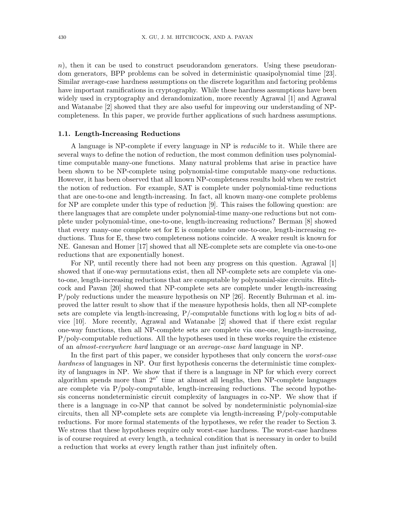$n$ ), then it can be used to construct pseudorandom generators. Using these pseudorandom generators, BPP problems can be solved in deterministic quasipolynomial time [23]. Similar average-case hardness assumptions on the discrete logarithm and factoring problems have important ramifications in cryptography. While these hardness assumptions have been widely used in cryptography and derandomization, more recently Agrawal [1] and Agrawal and Watanabe [2] showed that they are also useful for improving our understanding of NPcompleteness. In this paper, we provide further applications of such hardness assumptions.

#### 1.1. Length-Increasing Reductions

A language is NP-complete if every language in NP is reducible to it. While there are several ways to define the notion of reduction, the most common definition uses polynomialtime computable many-one functions. Many natural problems that arise in practice have been shown to be NP-complete using polynomial-time computable many-one reductions. However, it has been observed that all known NP-completeness results hold when we restrict the notion of reduction. For example, SAT is complete under polynomial-time reductions that are one-to-one and length-increasing. In fact, all known many-one complete problems for NP are complete under this type of reduction [9]. This raises the following question: are there languages that are complete under polynomial-time many-one reductions but not complete under polynomial-time, one-to-one, length-increasing reductions? Berman [8] showed that every many-one complete set for E is complete under one-to-one, length-increasing reductions. Thus for E, these two completeness notions coincide. A weaker result is known for NE. Ganesan and Homer [17] showed that all NE-complete sets are complete via one-to-one reductions that are exponentially honest.

For NP, until recently there had not been any progress on this question. Agrawal [1] showed that if one-way permutations exist, then all NP-complete sets are complete via oneto-one, length-increasing reductions that are computable by polynomial-size circuits. Hitchcock and Pavan [20] showed that NP-complete sets are complete under length-increasing P/poly reductions under the measure hypothesis on NP [26]. Recently Buhrman et al. improved the latter result to show that if the measure hypothesis holds, then all NP-complete sets are complete via length-increasing,  $P$ /-computable functions with log log n bits of advice [10]. More recently, Agrawal and Watanabe [2] showed that if there exist regular one-way functions, then all NP-complete sets are complete via one-one, length-increasing, P/poly-computable reductions. All the hypotheses used in these works require the existence of an almost-everywhere hard language or an average-case hard language in NP.

In the first part of this paper, we consider hypotheses that only concern the *worst-case* hardness of languages in NP. Our first hypothesis concerns the deterministic time complexity of languages in NP. We show that if there is a language in NP for which every correct algorithm spends more than  $2^{n^{\epsilon}}$  time at almost all lengths, then NP-complete languages are complete via P/poly-computable, length-increasing reductions. The second hypothesis concerns nondeterministic circuit complexity of languages in co-NP. We show that if there is a language in co-NP that cannot be solved by nondeterministic polynomial-size circuits, then all NP-complete sets are complete via length-increasing P/poly-computable reductions. For more formal statements of the hypotheses, we refer the reader to Section 3. We stress that these hypotheses require only worst-case hardness. The worst-case hardness is of course required at every length, a technical condition that is necessary in order to build a reduction that works at every length rather than just infinitely often.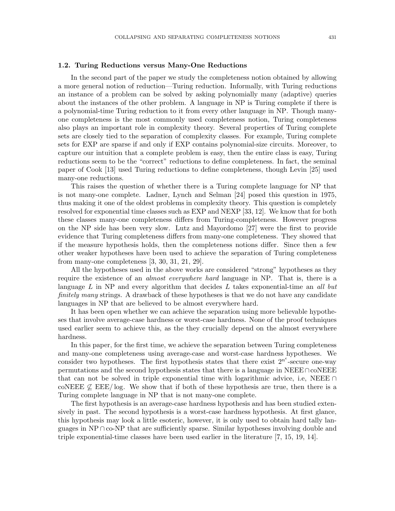#### 1.2. Turing Reductions versus Many-One Reductions

In the second part of the paper we study the completeness notion obtained by allowing a more general notion of reduction—Turing reduction. Informally, with Turing reductions an instance of a problem can be solved by asking polynomially many (adaptive) queries about the instances of the other problem. A language in NP is Turing complete if there is a polynomial-time Turing reduction to it from every other language in NP. Though manyone completeness is the most commonly used completeness notion, Turing completeness also plays an important role in complexity theory. Several properties of Turing complete sets are closely tied to the separation of complexity classes. For example, Turing complete sets for EXP are sparse if and only if EXP contains polynomial-size circuits. Moreover, to capture our intuition that a complete problem is easy, then the entire class is easy, Turing reductions seem to be the "correct" reductions to define completeness. In fact, the seminal paper of Cook [13] used Turing reductions to define completeness, though Levin [25] used many-one reductions.

This raises the question of whether there is a Turing complete language for NP that is not many-one complete. Ladner, Lynch and Selman [24] posed this question in 1975, thus making it one of the oldest problems in complexity theory. This question is completely resolved for exponential time classes such as EXP and NEXP [33, 12]. We know that for both these classes many-one completeness differs from Turing-completeness. However progress on the NP side has been very slow. Lutz and Mayordomo [27] were the first to provide evidence that Turing completeness differs from many-one completeness. They showed that if the measure hypothesis holds, then the completeness notions differ. Since then a few other weaker hypotheses have been used to achieve the separation of Turing completeness from many-one completeness [3, 30, 31, 21, 29].

All the hypotheses used in the above works are considered "strong" hypotheses as they require the existence of an *almost everywhere hard* language in NP. That is, there is a language  $L$  in NP and every algorithm that decides  $L$  takes exponential-time an all but finitely many strings. A drawback of these hypotheses is that we do not have any candidate languages in NP that are believed to be almost everywhere hard.

It has been open whether we can achieve the separation using more believable hypotheses that involve average-case hardness or worst-case hardness. None of the proof techniques used earlier seem to achieve this, as the they crucially depend on the almost everywhere hardness.

In this paper, for the first time, we achieve the separation between Turing completeness and many-one completeness using average-case and worst-case hardness hypotheses. We consider two hypotheses. The first hypothesis states that there exist  $2^{n^e}$ -secure one-way permutations and the second hypothesis states that there is a language in NEEE∩coNEEE that can not be solved in triple exponential time with logarithmic advice, i.e, NEEE ∩ coNEEE  $\nsubseteq$  EEE/log. We show that if both of these hypothesis are true, then there is a Turing complete language in NP that is not many-one complete.

The first hypothesis is an average-case hardness hypothesis and has been studied extensively in past. The second hypothesis is a worst-case hardness hypothesis. At first glance, this hypothesis may look a little esoteric, however, it is only used to obtain hard tally languages in  $NP \cap co-NP$  that are sufficiently sparse. Similar hypotheses involving double and triple exponential-time classes have been used earlier in the literature [7, 15, 19, 14].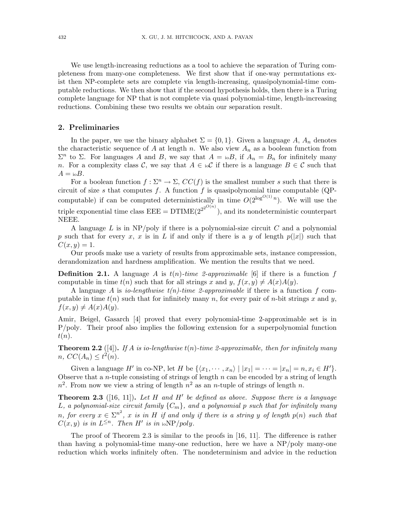We use length-increasing reductions as a tool to achieve the separation of Turing completeness from many-one completeness. We first show that if one-way permutations exist then NP-complete sets are complete via length-increasing, quasipolynomial-time computable reductions. We then show that if the second hypothesis holds, then there is a Turing complete language for NP that is not complete via quasi polynomial-time, length-increasing reductions. Combining these two results we obtain our separation result.

#### 2. Preliminaries

In the paper, we use the binary alphabet  $\Sigma = \{0,1\}$ . Given a language A, A<sub>n</sub> denotes the characteristic sequence of A at length n. We also view  $A_n$  as a boolean function from  $\Sigma<sup>n</sup>$  to Σ. For languages A and B, we say that  $A = i<sub>o</sub>B$ , if  $A_n = B_n$  for infinitely many n. For a complexity class C, we say that  $A \in \mathrm{id}$  if there is a language  $B \in \mathcal{C}$  such that  $A = {}_{10}B$ .

For a boolean function  $f : \Sigma^n \to \Sigma$ ,  $CC(f)$  is the smallest number s such that there is circuit of size s that computes f. A function f is quasipolynomial time computable (QPcomputable) if can be computed deterministically in time  $O(2^{\log^{O(1)} n})$ . We will use the triple exponential time class  $EEE = DTIME(2^{2^{2^{O(n)}}})$ , and its nondeterministic counterpart NEEE.

A language  $L$  is in NP/poly if there is a polynomial-size circuit  $C$  and a polynomial p such that for every x, x is in L if and only if there is a y of length  $p(|x|)$  such that  $C(x, y) = 1.$ 

Our proofs make use a variety of results from approximable sets, instance compression, derandomization and hardness amplification. We mention the results that we need.

**Definition 2.1.** A language A is  $t(n)$ -time 2-approximable [6] if there is a function f computable in time  $t(n)$  such that for all strings x and y,  $f(x, y) \neq A(x)A(y)$ .

A language A is *io-lengthwise*  $t(n)$ -time 2-approximable if there is a function f computable in time  $t(n)$  such that for infinitely many n, for every pair of n-bit strings x and y,  $f(x, y) \neq A(x)A(y).$ 

Amir, Beigel, Gasarch [4] proved that every polynomial-time 2-approximable set is in P/poly. Their proof also implies the following extension for a superpolynomial function  $t(n).$ 

**Theorem 2.2** ([4]). If A is io-lengthwise  $t(n)$ -time 2-approximable, then for infinitely many  $n, CC(A_n) \leq t^2(n).$ 

Given a language H' in co-NP, let H be  $\{\langle x_1, \dots, x_n \rangle \mid |x_1| = \dots = |x_n| = n, x_i \in H'\}.$ Observe that a *n*-tuple consisting of strings of length  $n$  can be encoded by a string of length  $n^2$ . From now we view a string of length  $n^2$  as an *n*-tuple of strings of length *n*.

**Theorem 2.3** ([16, 11]). Let H and H' be defined as above. Suppose there is a language L, a polynomial-size circuit family  ${C_m}$ , and a polynomial p such that for infinitely many n, for every  $x \in \Sigma^{n^2}$ , x is in H if and only if there is a string y of length  $p(n)$  such that  $C(x, y)$  is in  $L^{\leq n}$ . Then H' is in ioNP/poly.

The proof of Theorem 2.3 is similar to the proofs in [16, 11]. The difference is rather than having a polynomial-time many-one reduction, here we have a NP/poly many-one reduction which works infinitely often. The nondeterminism and advice in the reduction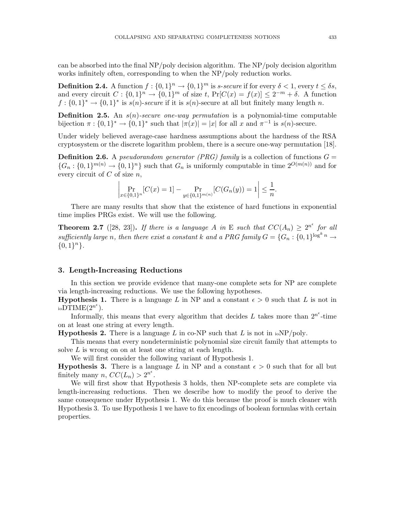can be absorbed into the final NP/poly decision algorithm. The NP/poly decision algorithm works infinitely often, corresponding to when the NP/poly reduction works.

**Definition 2.4.** A function  $f: \{0,1\}^n \to \{0,1\}^m$  is *s*-secure if for every  $\delta < 1$ , every  $t \leq \delta s$ , and every circuit  $C: \{0,1\}^n \to \{0,1\}^m$  of size t,  $\Pr[C(x) = f(x)] \leq 2^{-m} + \delta$ . A function  $f: \{0,1\}^* \to \{0,1\}^*$  is  $s(n)$ -secure if it is  $s(n)$ -secure at all but finitely many length n.

**Definition 2.5.** An  $s(n)$ -secure one-way permutation is a polynomial-time computable bijection  $\pi: \{0,1\}^* \to \{0,1\}^*$  such that  $|\pi(x)| = |x|$  for all x and  $\pi^{-1}$  is  $s(n)$ -secure.

Under widely believed average-case hardness assumptions about the hardness of the RSA cryptosystem or the discrete logarithm problem, there is a secure one-way permutation [18].

**Definition 2.6.** A *pseudorandom generator* (PRG) family is a collection of functions  $G =$  ${G_n: \{0,1\}^{m(n)} \to \{0,1\}^n}$  such that  $G_n$  is uniformly computable in time  $2^{O(m(n))}$  and for every circuit of  $C$  of size  $n$ ,

$$
\left| \Pr_{x \in \{0,1\}^n} [C(x) = 1] - \Pr_{y \in \{0,1\}^{m(n)}} [C(G_n(y)) = 1] \right| \le \frac{1}{n}.
$$

There are many results that show that the existence of hard functions in exponential time implies PRGs exist. We will use the following.

**Theorem 2.7** ([28, 23]). If there is a language A in E such that  $CC(A_n) \geq 2^{n^{\epsilon}}$  for all sufficiently large n, then there exist a constant k and a PRG family  $G = \{G_n : \{0,1\}^{\log^k n} \to$  ${0,1}^n$ .

#### 3. Length-Increasing Reductions

In this section we provide evidence that many-one complete sets for NP are complete via length-increasing reductions. We use the following hypotheses.

**Hypothesis 1.** There is a language L in NP and a constant  $\epsilon > 0$  such that L is not in  $\mathrm{i}\mathrm{o}\tilde{\mathrm{DT}}\mathrm{IME}(2^{n^{\epsilon}}).$ 

Informally, this means that every algorithm that decides L takes more than  $2^{n^e}$ -time on at least one string at every length.

**Hypothesis 2.** There is a language L in co-NP such that L is not in  $\text{ioNP}/\text{poly}$ .

This means that every nondeterministic polynomial size circuit family that attempts to solve L is wrong on on at least one string at each length.

We will first consider the following variant of Hypothesis 1.

**Hypothesis 3.** There is a language L in NP and a constant  $\epsilon > 0$  such that for all but finitely many  $n, CC(L_n) > 2^{n^{\epsilon}}$ .

We will first show that Hypothesis 3 holds, then NP-complete sets are complete via length-increasing reductions. Then we describe how to modify the proof to derive the same consequence under Hypothesis 1. We do this because the proof is much cleaner with Hypothesis 3. To use Hypothesis 1 we have to fix encodings of boolean formulas with certain properties.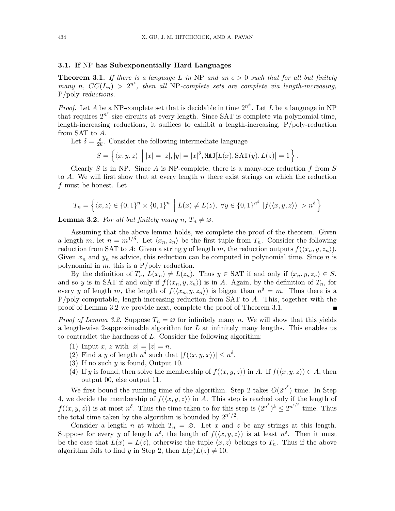#### 3.1. If NP has Subexponentially Hard Languages

**Theorem 3.1.** If there is a language L in NP and an  $\epsilon > 0$  such that for all but finitely many n,  $CC(L_n) > 2^{n^{\epsilon}}$ , then all NP-complete sets are complete via length-increasing, P/poly reductions.

*Proof.* Let A be a NP-complete set that is decidable in time  $2^{n^k}$ . Let L be a language in NP that requires  $2^{n^e}$ -size circuits at every length. Since SAT is complete via polynomial-time, length-increasing reductions, it suffices to exhibit a length-increasing, P/poly-reduction from SAT to A.

Let  $\delta = \frac{\epsilon}{2l}$  $\frac{\epsilon}{2k}$ . Consider the following intermediate language

$$
S = \left\{ \langle x, y, z \rangle \middle| |x| = |z|, |y| = |x|^{\delta}, \text{MAJ}[L(x), \text{SAT}(y), L(z)] = 1 \right\}.
$$

Clearly S is in NP. Since A is NP-complete, there is a many-one reduction f from S to A. We will first show that at every length  $n$  there exist strings on which the reduction f must be honest. Let

$$
T_n = \left\{ \langle x, z \rangle \in \{0, 1\}^n \times \{0, 1\}^n \middle| L(x) \neq L(z), \ \forall y \in \{0, 1\}^{n^{\delta}} \left| f(\langle x, y, z \rangle) \right| > n^{\delta} \right\}
$$

**Lemma 3.2.** For all but finitely many  $n, T_n \neq \emptyset$ .

Assuming that the above lemma holds, we complete the proof of the theorem. Given a length m, let  $n = m^{1/\delta}$ . Let  $\langle x_n, z_n \rangle$  be the first tuple from  $T_n$ . Consider the following reduction from SAT to A: Given a string y of length m, the reduction outputs  $f(\langle x_n, y, z_n \rangle)$ . Given  $x_n$  and  $y_n$  as advice, this reduction can be computed in polynomial time. Since n is polynomial in  $m$ , this is a P/poly reduction.

By the definition of  $T_n$ ,  $L(x_n) \neq L(z_n)$ . Thus  $y \in SAT$  if and only if  $\langle x_n, y, z_n \rangle \in S$ , and so y is in SAT if and only if  $f(\langle x_n, y, z_n \rangle)$  is in A. Again, by the definition of  $T_n$ , for every y of length m, the length of  $f(\langle x_n, y, z_n \rangle)$  is bigger than  $n^{\delta} = m$ . Thus there is a  $P/poly-computable, length-increasing reduction from SAT to A. This, together with the$ proof of Lemma 3.2 we provide next, complete the proof of Theorem 3.1.

*Proof of Lemma 3.2.* Suppose  $T_n = \emptyset$  for infinitely many n. We will show that this yields a length-wise 2-approximable algorithm for  $L$  at infinitely many lengths. This enables us to contradict the hardness of L. Consider the following algorithm:

- (1) Input x, z with  $|x| = |z| = n$ .
- (2) Find a y of length  $n^{\delta}$  such that  $|f(\langle x, y, x \rangle)| \leq n^{\delta}$ .
- (3) If no such  $y$  is found, Output 10.
- (4) If y is found, then solve the membership of  $f(\langle x, y, z \rangle)$  in A. If  $f(\langle x, y, z \rangle) \in A$ , then output 00, else output 11.

We first bound the running time of the algorithm. Step 2 takes  $O(2^{n^{\delta}})$  time. In Step 4, we decide the membership of  $f(\langle x, y, z \rangle)$  in A. This step is reached only if the length of  $f(\langle x, y, z \rangle)$  is at most  $n^{\delta}$ . Thus the time taken to for this step is  $(2^{n^{\delta}})^k \leq 2^{n^{\epsilon/2}}$  time. Thus the total time taken by the algorithm is bounded by  $2^{n^{\epsilon}/2}$ .

Consider a length n at which  $T_n = \emptyset$ . Let x and z be any strings at this length. Suppose for every y of length  $n^{\delta}$ , the length of  $f(\langle x, y, z \rangle)$  is at least  $n^{\delta}$ . Then it must be the case that  $L(x) = L(z)$ , otherwise the tuple  $\langle x, z \rangle$  belongs to  $T_n$ . Thus if the above algorithm fails to find y in Step 2, then  $L(x)L(z) \neq 10$ .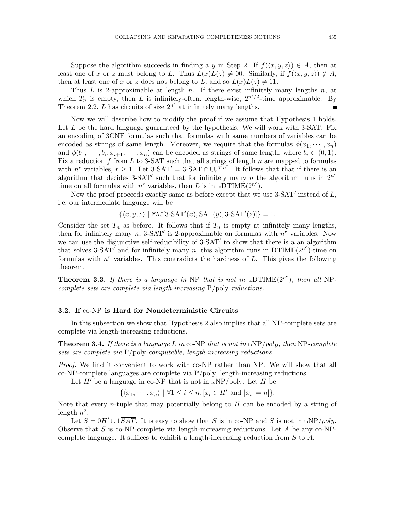Suppose the algorithm succeeds in finding a y in Step 2. If  $f(\langle x, y, z \rangle) \in A$ , then at least one of x or z must belong to L. Thus  $L(x)L(z) \neq 00$ . Similarly, if  $f(\langle x, y, z \rangle) \notin A$ , then at least one of x or z does not belong to L, and so  $L(x)L(z) \neq 11$ .

Thus  $L$  is 2-approximable at length  $n$ . If there exist infinitely many lengths  $n$ , at which  $T_n$  is empty, then L is infinitely-often, length-wise,  $2^{n^e/2}$ -time approximable. By Theorem 2.2, L has circuits of size  $2^{n^{\epsilon}}$  at infinitely many lengths.

Now we will describe how to modify the proof if we assume that Hypothesis 1 holds. Let  $L$  be the hard language guaranteed by the hypothesis. We will work with 3-SAT. Fix an encoding of 3CNF formulas such that formulas with same numbers of variables can be encoded as strings of same length. Moreover, we require that the formulas  $\phi(x_1, \dots, x_n)$ and  $\phi(b_1, \dots, b_i, x_{i+1}, \dots, x_n)$  can be encoded as strings of same length, where  $b_i \in \{0, 1\}$ . Fix a reduction  $f$  from  $L$  to 3-SAT such that all strings of length  $n$  are mapped to formulas with  $n^r$  variables,  $r \geq 1$ . Let 3-SAT' = 3-SAT  $\cap \cup_r \Sigma^{n^r}$ . It follows that that if there is an algorithm that decides 3-SAT' such that for infinitely many n the algorithm runs in  $2^{n^e}$ time on all formulas with  $n^r$  variables, then L is in  $_{10}DTIME(2^{n^e}).$ 

Now the proof proceeds exactly same as before except that we use  $3\text{-SAT}'$  instead of  $L$ , i.e, our intermediate language will be

 $\{\langle x, y, z \rangle \mid \text{MAJ}[3\text{-SAT}'(x), \text{SAT}(y), 3\text{-SAT}'(z)]\} = 1.$ 

Consider the set  $T_n$  as before. It follows that if  $T_n$  is empty at infinitely many lengths, then for infinitely many  $n$ , 3-SAT' is 2-approximable on formulas with  $n^r$  variables. Now we can use the disjunctive self-reducibility of 3-SAT' to show that there is a an algorithm that solves 3-SAT' and for infinitely many n, this algorithm runs in DTIME $(2^{n^{\epsilon}})$ -time on formulas with  $n<sup>r</sup>$  variables. This contradicts the hardness of  $L$ . This gives the following theorem.

**Theorem 3.3.** If there is a language in NP that is not in  $\text{ioDTIME}(2^{n^{\epsilon}})$ , then all NPcomplete sets are complete via length-increasing P/poly reductions.

#### 3.2. If co-NP is Hard for Nondeterministic Circuits

In this subsection we show that Hypothesis 2 also implies that all NP-complete sets are complete via length-increasing reductions.

**Theorem 3.4.** If there is a language L in co-NP that is not in  $\mathrm{i} \circ \mathrm{NP}/poly$ , then NP-complete sets are complete via P/poly-computable, length-increasing reductions.

Proof. We find it convenient to work with co-NP rather than NP. We will show that all co-NP-complete languages are complete via P/poly, length-increasing reductions.

Let  $H'$  be a language in co-NP that is not in  $\frac{1}{10}$  be left  $H$  be

 $\{\langle x_1, \cdots, x_n \rangle \mid \forall 1 \leq i \leq n, [x_i \in H' \text{ and } |x_i| = n] \}.$ 

Note that every *n*-tuple that may potentially belong to  $H$  can be encoded by a string of length  $n^2$ .

Let  $S = 0H' \cup 1SAT$ . It is easy to show that S is in co-NP and S is not in  $\omega NP/poly$ . Observe that S is co-NP-complete via length-increasing reductions. Let A be any co-NPcomplete language. It suffices to exhibit a length-increasing reduction from  $S$  to  $A$ .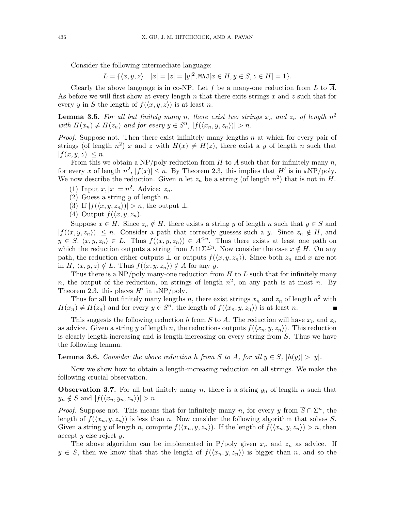Consider the following intermediate language:

 $L = \{ \langle x, y, z \rangle \mid |x| = |z| = |y|^2, \text{MAJ}[x \in H, y \in S, z \in H] = 1 \}.$ 

Clearly the above language is in co-NP. Let f be a many-one reduction from L to  $\overline{A}$ . As before we will first show at every length n that there exits strings x and z such that for every y in S the length of  $f(\langle x, y, z \rangle)$  is at least n.

**Lemma 3.5.** For all but finitely many n, there exist two strings  $x_n$  and  $z_n$  of length  $n^2$ with  $H(x_n) \neq H(z_n)$  and for every  $y \in S^n$ ,  $|f(\langle x_n, y, z_n \rangle)| > n$ .

*Proof.* Suppose not. Then there exist infinitely many lengths n at which for every pair of strings (of length  $n^2$ ) x and z with  $H(x) \neq H(z)$ , there exist a y of length n such that  $|f(x, y, z)| \leq n$ .

From this we obtain a NP/poly-reduction from H to A such that for infinitely many  $n$ , for every x of length  $n^2$ ,  $|f(x)| \le n$ . By Theorem 2.3, this implies that H' is in ioNP/poly. We now describe the reduction. Given n let  $z_n$  be a string (of length  $n^2$ ) that is not in H.

- (1) Input  $x, |x| = n^2$ . Advice:  $z_n$ .
- (2) Guess a string y of length n.
- (3) If  $|f(\langle x, y, z_n \rangle)| > n$ , the output ⊥.
- (4) Output  $f(\langle x, y, z_n \rangle)$ .

Suppose  $x \in H$ . Since  $z_n \notin H$ , there exists a string y of length n such that  $y \in S$  and  $|f(\langle x, y, z_n \rangle)| \leq n$ . Consider a path that correctly guesses such a y. Since  $z_n \notin H$ , and  $y \in S$ ,  $\langle x, y, z_n \rangle \in L$ . Thus  $f(\langle x, y, z_n \rangle) \in A^{\leq n}$ . Thus there exists at least one path on which the reduction outputs a string from  $L \cap \Sigma^{\leq n}$ . Now consider the case  $x \notin H$ . On any path, the reduction either outputs  $\perp$  or outputs  $f(\langle x, y, z_n \rangle)$ . Since both  $z_n$  and x are not in H,  $\langle x, y, z \rangle \notin L$ . Thus  $f(\langle x, y, z_n \rangle) \notin A$  for any y.

Thus there is a  $NP/poly$  many-one reduction from H to L such that for infinitely many n, the output of the reduction, on strings of length  $n^2$ , on any path is at most n. By Theorem 2.3, this places  $H'$  in  $\text{ioNP}/\text{poly}$ .

Thus for all but finitely many lengths n, there exist strings  $x_n$  and  $z_n$  of length  $n^2$  with  $H(x_n) \neq H(z_n)$  and for every  $y \in S^n$ , the length of  $f(\langle x_n, y, z_n \rangle)$  is at least n.

This suggests the following reduction h from S to A. The reduction will have  $x_n$  and  $z_n$ as advice. Given a string y of length n, the reductions outputs  $f(\langle x_n, y, z_n \rangle)$ . This reduction is clearly length-increasing and is length-increasing on every string from S. Thus we have the following lemma.

**Lemma 3.6.** Consider the above reduction h from S to A, for all  $y \in S$ ,  $|h(y)| > |y|$ .

Now we show how to obtain a length-increasing reduction on all strings. We make the following crucial observation.

**Observation 3.7.** For all but finitely many n, there is a string  $y_n$  of length n such that  $y_n \notin S$  and  $|f(\langle x_n, y_n, z_n \rangle)| > n$ .

*Proof.* Suppose not. This means that for infinitely many n, for every y from  $\overline{S} \cap \Sigma^n$ , the length of  $f(\langle x_n, y, z_n \rangle)$  is less than n. Now consider the following algorithm that solves S. Given a string y of length n, compute  $f(\langle x_n, y, z_n \rangle)$ . If the length of  $f(\langle x_n, y, z_n \rangle) > n$ , then accept y else reject y.

The above algorithm can be implemented in P/poly given  $x_n$  and  $z_n$  as advice. If  $y \in S$ , then we know that that the length of  $f(\langle x_n, y, z_n \rangle)$  is bigger than n, and so the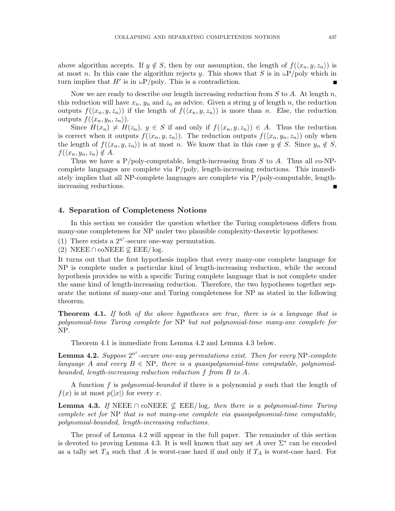above algorithm accepts. If  $y \notin S$ , then by our assumption, the length of  $f(\langle x_n, y, z_n \rangle)$  is at most n. In this case the algorithm rejects y. This shows that S is in  $\mathrm{ioP}/\mathrm{poly}$  which in turn implies that  $H'$  is in  $\mathrm{ioP}/\mathrm{poly}$ . This is a contradiction.

Now we are ready to describe our length increasing reduction from  $S$  to  $A$ . At length  $n$ , this reduction will have  $x_n$ ,  $y_n$  and  $z_n$  as advice. Given a string y of length n, the reduction outputs  $f(\langle x_n, y, z_n \rangle)$  if the length of  $f(\langle x_n, y, z_n \rangle)$  is more than n. Else, the reduction outputs  $f(\langle x_n, y_n, z_n \rangle)$ .

Since  $H(x_n) \neq H(z_n)$ ,  $y \in S$  if and only if  $f(\langle x_n, y, z_n \rangle) \in A$ . Thus the reduction is correct when it outputs  $f(\langle x_n, y, z_n \rangle)$ . The reduction outputs  $f(\langle x_n, y_n, z_n \rangle)$  only when the length of  $f(\langle x_n, y, z_n \rangle)$  is at most n. We know that in this case  $y \notin S$ . Since  $y_n \notin S$ ,  $f(\langle x_n, y_n, z_n \rangle \notin A$ .

Thus we have a P/poly-computable, length-increasing from  $S$  to  $A$ . Thus all co-NPcomplete languages are complete via P/poly, length-increasing reductions. This immediately implies that all NP-complete languages are complete via P/poly-computable, lengthincreasing reductions.

#### 4. Separation of Completeness Notions

In this section we consider the question whether the Turing completeness differs from many-one completeness for NP under two plausible complexity-theoretic hypotheses:

(1) There exists a  $2^{n^e}$ -secure one-way permutation.

(2) NEEE  $\cap$  coNEEE  $\nsubseteq$  EEE/log.

It turns out that the first hypothesis implies that every many-one complete language for NP is complete under a particular kind of length-increasing reduction, while the second hypothesis provides us with a specific Turing complete language that is not complete under the same kind of length-increasing reduction. Therefore, the two hypotheses together separate the notions of many-one and Turing completeness for NP as stated in the following theorem.

**Theorem 4.1.** If both of the above hypotheses are true, there is is a language that is polynomial-time Turing complete for NP but not polynomial-time many-one complete for NP.

Theorem 4.1 is immediate from Lemma 4.2 and Lemma 4.3 below.

**Lemma 4.2.** Suppose  $2^{n^e}$ -secure one-way permutations exist. Then for every NP-complete language A and every  $B \in \text{NP}$ , there is a quasipolynomial-time computable, polynomialbounded, length-increasing reduction reduction f from B to A.

A function f is polynomial-bounded if there is a polynomial p such that the length of  $f(x)$  is at most  $p(|x|)$  for every x.

**Lemma 4.3.** If NEEE  $\cap$  coNEEE  $\nsubseteq$  EEE/log, then there is a polynomial-time Turing complete set for NP that is not many-one complete via quasipolynomial-time computable, polynomial-bounded, length-increasing reductions.

The proof of Lemma 4.2 will appear in the full paper. The remainder of this section is devoted to proving Lemma 4.3. It is well known that any set A over  $\Sigma^*$  can be encoded as a tally set  $T_A$  such that A is worst-case hard if and only if  $T_A$  is worst-case hard. For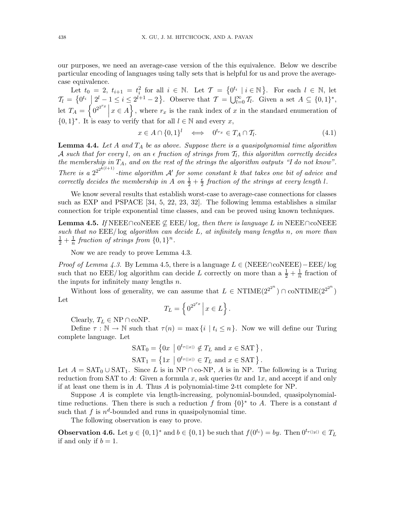our purposes, we need an average-case version of the this equivalence. Below we describe particular encoding of languages using tally sets that is helpful for us and prove the averagecase equivalence.

Let  $t_0 = 2$ ,  $t_{i+1} = t_i^2$  for all  $i \in \mathbb{N}$ . Let  $\mathcal{T} = \{0^{t_i} \mid i \in \mathbb{N}\}$ . For each  $l \in \mathbb{N}$ , let  $\mathcal{T}_l = \left\{0^{t_i} \middle| 2^l - 1 \leq i \leq 2^{l+1} - 2 \right\}.$  Observe that  $\mathcal{T} = \bigcup_{l=0}^{\infty} \mathcal{T}_l$ . Given a set  $A \subseteq \{0,1\}^*,$ let  $T_A = \left\{ 0^{2^{2^{r_x}}} \right\}$  $x \in A$ , where  $r_x$  is the rank index of x in the standard enumeration of  $\{0,1\}^*$ . It is easy to verify that for all  $l \in \mathbb{N}$  and every x,

$$
x \in A \cap \{0,1\}^l \iff 0^{t_{rx}} \in T_A \cap T_l. \tag{4.1}
$$

**Lemma 4.4.** Let  $A$  and  $T_A$  be as above. Suppose there is a quasipolynomial time algorithm  ${\cal A}$  such that for every  $l,$  on an  $\epsilon$  fraction of strings from  $\mathcal{T}_l,$  this algorithm correctly decides the membership in  $T_A$ , and on the rest of the strings the algorithm outputs "I do not know". There is a  $2^{2^{2^{k(l+1)}}}$ -time algorithm A' for some constant k that takes one bit of advice and correctly decides the membership in A on  $\frac{1}{2} + \frac{\epsilon}{2}$  $\frac{\epsilon}{2}$  fraction of the strings at every length l.

We know several results that establish worst-case to average-case connections for classes such as EXP and PSPACE [34, 5, 22, 23, 32]. The following lemma establishes a similar connection for triple exponential time classes, and can be proved using known techniques.

**Lemma 4.5.** If NEEE∩coNEEE  $\nsubseteq$  EEE/ log, then there is language L in NEEE∩coNEEE such that no  $E\to E$  log algorithm can decide L, at infinitely many lengths n, on more than  $rac{1}{2} + \frac{1}{n}$  $\frac{1}{n}$  fraction of strings from  $\{0,1\}^n$ .

Now we are ready to prove Lemma 4.3.

*Proof of Lemma 4.3.* By Lemma 4.5, there is a language  $L \in (NEEE \cap coNEEE) - EEE/\log$ such that no EEE/log algorithm can decide L correctly on more than a  $\frac{1}{2} + \frac{1}{n}$  $\frac{1}{n}$  fraction of the inputs for infinitely many lengths  $n$ .

Without loss of generality, we can assume that  $L \in \text{NTIME}(2^{2^{2^n}}) \cap \text{coNTIME}(2^{2^{2^n}})$ Let

$$
T_L = \left\{ 0^{2^{2^{r_x}}} \, \middle| \, x \in L \right\}.
$$

Clearly,  $T_L \in \text{NP} \cap \text{coNP}$ .

Define  $\tau : \mathbb{N} \to \mathbb{N}$  such that  $\tau(n) = \max\{i \mid t_i \leq n\}$ . Now we will define our Turing complete language. Let

$$
SAT_0 = \left\{ 0x \mid 0^{t_{\tau(|x|)}} \notin T_L \text{ and } x \in SAT \right\},\
$$
  

$$
SAT_1 = \left\{ 1x \mid 0^{t_{\tau(|x|)}} \in T_L \text{ and } x \in SAT \right\}.
$$

Let  $A = \text{SAT}_0 \cup \text{SAT}_1$ . Since L is in NP ∩ co-NP, A is in NP. The following is a Turing reduction from SAT to A: Given a formula x, ask queries  $0x$  and  $1x$ , and accept if and only if at least one them is in A. Thus A is polynomial-time 2-tt complete for NP.

Suppose A is complete via length-increasing, polynomial-bounded, quasipolynomialtime reductions. Then there is such a reduction f from  $\{0\}^*$  to A. There is a constant d such that  $f$  is  $n^d$ -bounded and runs in quasipolynomial time.

The following observation is easy to prove.

**Observation 4.6.** Let  $y \in \{0,1\}^*$  and  $b \in \{0,1\}$  be such that  $f(0^{t_i}) = by$ . Then  $0^{t_{\tau(|y|)}} \in T_L$ if and only if  $b = 1$ .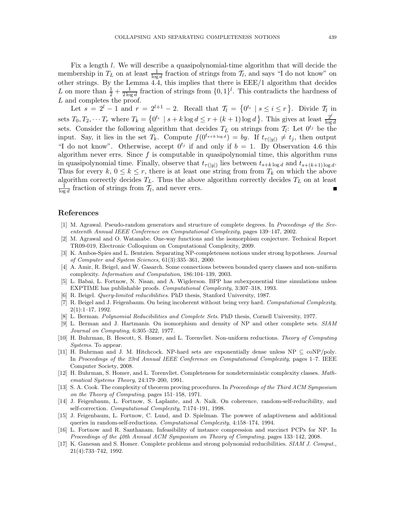Fix a length l. We will describe a quasipolynomial-time algorithm that will decide the membership in  $T_L$  on at least  $\frac{1}{\log d}$  fraction of strings from  $\mathcal{T}_l$ , and says "I do not know" on other strings. By the Lemma 4.4, this implies that there is EEE/1 algorithm that decides L on more than  $\frac{1}{2} + \frac{1}{2 \log d}$  fraction of strings from  $\{0, 1\}^l$ . This contradicts the hardness of L and completes the proof.

Let  $s = 2^l - 1$  and  $r = 2^{l+1} - 2$ . Recall that  $\mathcal{T}_l = \{0^{t_i} \mid s \le i \le r\}$ . Divide  $\mathcal{T}_l$  in sets  $T_0, T_2, \dots T_r$  where  $T_k = \{0^{t_i} \mid s + k \log d \le r + (k+1) \log d\}$ . This gives at least  $\frac{2^l}{\log d}$  $\log d$ sets. Consider the following algorithm that decides  $T_L$  on strings from  $\mathcal{T}_l$ : Let  $0^{t_j}$  be the input. Say, it lies in the set  $T_k$ . Compute  $f(0^{t_{s+k \log d}}) = by$ . If  $t_{\tau(|y|)} \neq t_j$ , then output "I do not know". Otherwise, accept  $0^{t_j}$  if and only if  $b = 1$ . By Observation 4.6 this algorithm never errs. Since  $f$  is computable in quasipolynomial time, this algorithm runs in quasipolynomial time. Finally, observe that  $t_{\tau(|y|)}$  lies between  $t_{s+k \log d}$  and  $t_{s+(k+1) \log d}$ . Thus for every  $k, 0 \leq k \leq r$ , there is at least one string from from  $T_k$  on which the above algorithm correctly decides  $T_L$ . Thus the above algorithm correctly decides  $T_L$  on at least 1  $\frac{1}{\log d}$  fraction of strings from  $\mathcal{T}_l$ , and never errs.

#### References

- [1] M. Agrawal. Pseudo-random generators and structure of complete degrees. In *Proceedings of the Seventeenth Annual IEEE Conference on Computational Complexity*, pages 139–147, 2002.
- [2] M. Agrawal and O. Watanabe. One-way functions and the isomorphism conjecture. Technical Report TR09-019, Electronic Colloquium on Computational Complexity, 2009.
- [3] K. Ambos-Spies and L. Bentzien. Separating NP-completeness notions under strong hypotheses. *Journal of Computer and System Sciences*, 61(3):335–361, 2000.
- [4] A. Amir, R. Beigel, and W. Gasarch. Some connections between bounded query classes and non-uniform complexity. *Information and Computation*, 186:104–139, 2003.
- [5] L. Babai, L. Fortnow, N. Nisan, and A. Wigderson. BPP has subexponential time simulations unless EXPTIME has publishable proofs. *Computational Complexity*, 3:307–318, 1993.
- [6] R. Beigel. *Query-limited reducibilities*. PhD thesis, Stanford University, 1987.
- [7] R. Beigel and J. Feigenbaum. On being incoherent without being very hard. *Computational Complexity*, 2(1):1–17, 1992.
- [8] L. Berman. *Polynomial Reducibilities and Complete Sets*. PhD thesis, Cornell University, 1977.
- [9] L. Berman and J. Hartmanis. On isomorphism and density of NP and other complete sets. *SIAM Journal on Computing*, 6:305–322, 1977.
- [10] H. Buhrman, B. Hescott, S. Homer, and L. Torenvliet. Non-uniform reductions. *Theory of Computing Systems*. To appear.
- [11] H. Buhrman and J. M. Hitchcock. NP-hard sets are exponentially dense unless NP ⊆ coNP/poly. In *Proceedings of the 23rd Annual IEEE Conference on Computational Complexity*, pages 1–7. IEEE Computer Society, 2008.
- [12] H. Buhrman, S. Homer, and L. Torenvliet. Completeness for nondeterministic complexity classes. *Mathematical Systems Theory*, 24:179–200, 1991.
- [13] S. A. Cook. The complexity of theorem proving procedures. In *Proceedings of the Third ACM Symposium on the Theory of Computing*, pages 151–158, 1971.
- [14] J. Feigenbaum, L. Fortnow, S. Laplante, and A. Naik. On coherence, random-self-reducibility, and self-correction. *Computational Complexity*, 7:174–191, 1998.
- [15] J. Feigenbaum, L. Fortnow, C. Lund, and D. Spielman. The powwer of adaptiveness and additional queries in random-self-reductions. *Computational Complexity*, 4:158–174, 1994.
- [16] L. Fortnow and R. Santhanam. Infeasibility of instance compression and succinct PCPs for NP. In *Proceedings of the 40th Annual ACM Symposium on Theory of Computing*, pages 133–142, 2008.
- [17] K. Ganesan and S. Homer. Complete problems and strong polynomial reducibilities. *SIAM J. Comput.*, 21(4):733–742, 1992.